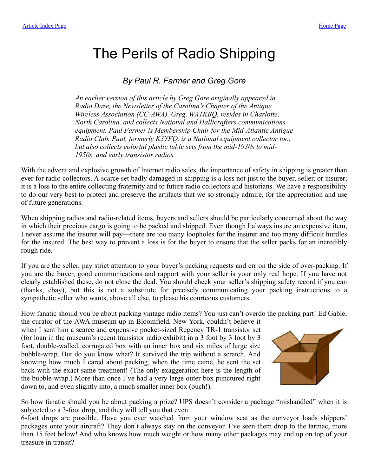## <span id="page-0-0"></span>The Perils of Radio Shipping

## *By Paul R. Farmer and Greg Gore*

*An earlier version of this article by Greg Gore originally appeared in Radio Daze, the Newsletter of the Carolina's Chapter of the Antique Wireless Association (CC-AWA). Greg, WA1KBQ, resides in Charlotte, North Carolina, and collects National and Hallicrafters communications equipment. Paul Farmer is Membership Chair for the Mid-Atlantic Antique Radio Club. Paul, formerly K3YFQ, is a National equipment collector too, but also collects colorful plastic table sets from the mid-1930s to mid-1950s, and early transistor radios.*

With the advent and explosive growth of Internet radio sales, the importance of safety in shipping is greater than ever for radio collectors. A scarce set badly damaged in shipping is a loss not just to the buyer, seller, or insurer; it is a loss to the entire collecting fraternity and to future radio collectors and historians. We have a responsibility to do our very best to protect and preserve the artifacts that we so strongly admire, for the appreciation and use of future generations.

When shipping radios and radio-related items, buyers and sellers should be particularly concerned about the way in which their precious cargo is going to be packed and shipped. Even though I always insure an expensive item, I never assume the insurer will pay—there are too many loopholes for the insurer and too many difficult hurdles for the insured. The best way to prevent a loss is for the buyer to ensure that the seller packs for an incredibly rough ride.

If you are the seller, pay strict attention to your buyer's packing requests and err on the side of over-packing. If you are the buyer, good communications and rapport with your seller is your only real hope. If you have not clearly established these, do not close the deal. You should check your seller's shipping safety record if you can (thanks, ebay), but this is not a substitute for precisely communicating your packing instructions to a sympathetic seller who wants, above all else, to please his courteous customers.

How fanatic should you be about packing vintage radio items? You just can't overdo the packing part! Ed Gable,

the curator of the AWA museum up in Bloomfield, New York, couldn't believe it when I sent him a scarce and expensive pocket-sized Regency TR-1 transistor set (for loan in the museum's recent transistor radio exhibit) in a 3 foot by 3 foot by 3 foot, double-walled, corrugated box with an inner box and six miles of large size bubble-wrap. But do you know what? It survived the trip without a scratch. And knowing how much I cared about packing, when the time came, he sent the set back with the exact same treatment! (The only exaggeration here is the length of the bubble-wrap.) More than once I've had a very large outer box punctured right down to, and even slightly into, a much smaller inner box (ouch!).



So how fanatic should you be about packing a prize? UPS doesn't consider a package "mishandled" when it is subjected to a 3-foot drop, and they will tell you that even

6-foot drops are possible. Have you ever watched from your window seat as the conveyor loads shippers' packages onto your aircraft? They don't always stay on the conveyor. I've seen them drop to the tarmac, more than 15 feet below! And who knows how much weight or how many other packages may end up on top of your treasure in transit?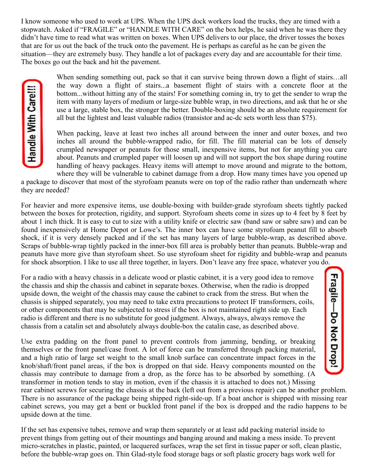I know someone who used to work at UPS. When the UPS dock workers load the trucks, they are timed with a stopwatch. Asked if "FRAGILE" or "HANDLE WITH CARE" on the box helps, he said when he was there they didn't have time to read what was written on boxes. When UPS delivers to our place, the driver tosses the boxes that are for us out the back of the truck onto the pavement. He is perhaps as careful as he can be given the situation—they are extremely busy. They handle a lot of packages every day and are accountable for their time. The boxes go out the back and hit the pavement.

When sending something out, pack so that it can survive being thrown down a flight of stairs...all the way down a flight of stairs...a basement flight of stairs with a concrete floor at the bottom...without hitting any of the stairs! For something coming in, try to get the sender to wrap the item with many layers of medium or large-size bubble wrap, in two directions, and ask that he or she use a large, stable box, the stronger the better. Double-boxing should be an absolute requirement for all but the lightest and least valuable radios (transistor and ac-dc sets worth less than \$75).

When packing, leave at least two inches all around between the inner and outer boxes, and two inches all around the bubble-wrapped radio, for fill. The fill material can be lots of densely crumpled newspaper or peanuts for those small, inexpensive items, but not for anything you care about. Peanuts and crumpled paper will loosen up and will not support the box shape during routine handling of heavy packages. Heavy items will attempt to move around and migrate to the bottom, where they will be vulnerable to cabinet damage from a drop. How many times have you opened up

Fragile-Do Not Drop!

a package to discover that most of the styrofoam peanuts were on top of the radio rather than underneath where they are needed?

For heavier and more expensive items, use double-boxing with builder-grade styrofoam sheets tightly packed between the boxes for protection, rigidity, and support. Styrofoam sheets come in sizes up to 4 feet by 8 feet by about 1 inch thick. It is easy to cut to size with a utility knife or electric saw (band saw or sabre saw) and can be found inexpensively at Home Depot or Lowe's. The inner box can have some styrofoam peanut fill to absorb shock, if it is very densely packed and if the set has many layers of large bubble-wrap, as described above. Scraps of bubble-wrap tightly packed in the inner-box fill area is probably better than peanuts. Bubble-wrap and peanuts have more give than styrofoam sheet. So use styrofoam sheet for rigidity and bubble-wrap and peanuts for shock absorption. I like to use all three together, in layers. Don't leave any free space, whatever you do.

For a radio with a heavy chassis in a delicate wood or plastic cabinet, it is a very good idea to remove the chassis and ship the chassis and cabinet in separate boxes. Otherwise, when the radio is dropped upside down, the weight of the chassis may cause the cabinet to crack from the stress. But when the chassis is shipped separately, you may need to take extra precautions to protect IF transformers, coils, or other components that may be subjected to stress if the box is not maintained right side up. Each radio is different and there is no substitute for good judgment. Always, always, always remove the chassis from a catalin set and absolutely always double-box the catalin case, as described above.

Use extra padding on the front panel to prevent controls from jamming, bending, or breaking themselves or the front panel/case front. A lot of force can be transferred through packing material, and a high ratio of large set weight to the small knob surface can concentrate impact forces in the knob/shaft/front panel areas, if the box is dropped on that side. Heavy components mounted on the chassis may contribute to damage from a drop, as the force has to be absorbed by something. (A transformer in motion tends to stay in motion, even if the chassis it is attached to does not.) Missing

rear cabinet screws for securing the chassis at the back (left out from a previous repair) can be another problem. There is no assurance of the package being shipped right-side-up. If a boat anchor is shipped with missing rear cabinet screws, you may get a bent or buckled front panel if the box is dropped and the radio happens to be upside down at the time.

If the set has expensive tubes, remove and wrap them separately or at least add packing material inside to prevent things from getting out of their mountings and banging around and making a mess inside. To prevent micro-scratches in plastic, painted, or lacquered surfaces, wrap the set first in tissue paper or soft, clean plastic, before the bubble-wrap goes on. Thin Glad-style food storage bags or soft plastic grocery bags work well for